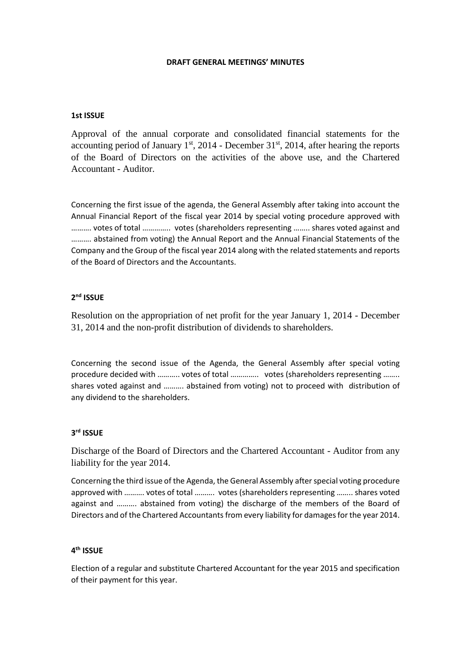#### **DRAFT GENERAL MEETINGS' MINUTES**

### **1st ISSUE**

Approval of the annual corporate and consolidated financial statements for the accounting period of January  $1<sup>st</sup>$ , 2014 - December 31 $<sup>st</sup>$ , 2014, after hearing the reports</sup> of the Board of Directors on the activities of the above use, and the Chartered Accountant - Auditor.

Concerning the first issue of the agenda, the General Assembly after taking into account the Annual Financial Report οf the fiscal year 2014 by special voting procedure approved with ………. votes of total ………….. votes (shareholders representing …….. shares voted against and ………. abstained from voting) the Annual Report and the Annual Financial Statements of the Company and the Group οf the fiscal year 2014 along with the related statements and reports of the Board of Directors and the Accountants.

# **2 nd ISSUE**

Resolution on the appropriation of net profit for the year January 1, 2014 - December 31, 2014 and the non-profit distribution of dividends to shareholders.

Concerning the second issue of the Agenda, the General Assembly after special voting procedure decided with ……….. votes of total ………….. votes (shareholders representing …….. shares voted against and ………. abstained from voting) not to proceed with distribution of any dividend to the shareholders.

## **3 rd ISSUE**

Discharge of the Board of Directors and the Chartered Accountant - Auditor from any liability for the year 2014.

Concerning the third issue of the Agenda, the General Assembly after special voting procedure approved with ………. votes of total ………. votes (shareholders representing …….. shares voted against and ………. abstained from voting) the discharge of the members of the Board of Directors and of the Chartered Accountants from every liability for damages for the year 2014.

# **4 th ISSUE**

Election of a regular and substitute Chartered Accountant for the year 2015 and specification of their payment for this year.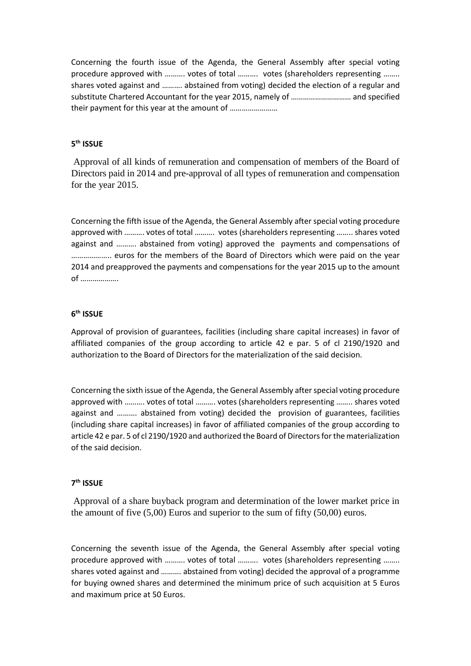Concerning the fourth issue of the Agenda, the General Assembly after special voting procedure approved with ………. votes of total ………. votes (shareholders representing …….. shares voted against and ………. abstained from voting) decided the election of a regular and substitute Chartered Accountant for the year 2015, namely of ………………………… and specified their payment for this year at the amount of ……………………

## **5 th ISSUE**

Approval of all kinds of remuneration and compensation of members of the Board of Directors paid in 2014 and pre-approval of all types of remuneration and compensation for the year 2015.

Concerning the fifth issue of the Agenda, the General Assembly after special voting procedure approved with ………. votes of total ………. votes (shareholders representing …….. shares voted against and ………. abstained from voting) approved the payments and compensations of ……………….. euros for the members of the Board of Directors which were paid on the year 2014 and preapproved the payments and compensations for the year 2015 up to the amount of ……………….

#### **6 th ISSUE**

Approval of provision of guarantees, facilities (including share capital increases) in favor of affiliated companies of the group according to article 42 e par. 5 of cl 2190/1920 and authorization to the Board of Directors for the materialization of the said decision.

Concerning the sixth issue of the Agenda, the General Assembly after special voting procedure approved with ………. votes of total ………. votes (shareholders representing …….. shares voted against and ………. abstained from voting) decided the provision of guarantees, facilities (including share capital increases) in favor of affiliated companies of the group according to article 42 e par. 5 of cl 2190/1920 and authorized the Board of Directors for the materialization of the said decision.

## **7 th ISSUE**

Approval of a share buyback program and determination of the lower market price in the amount of five (5,00) Euros and superior to the sum of fifty (50,00) euros.

Concerning the seventh issue of the Agenda, the General Assembly after special voting procedure approved with ………. votes of total ………. votes (shareholders representing …….. shares voted against and ………. abstained from voting) decided the approval of a programme for buying owned shares and determined the minimum price of such acquisition at 5 Euros and maximum price at 50 Euros.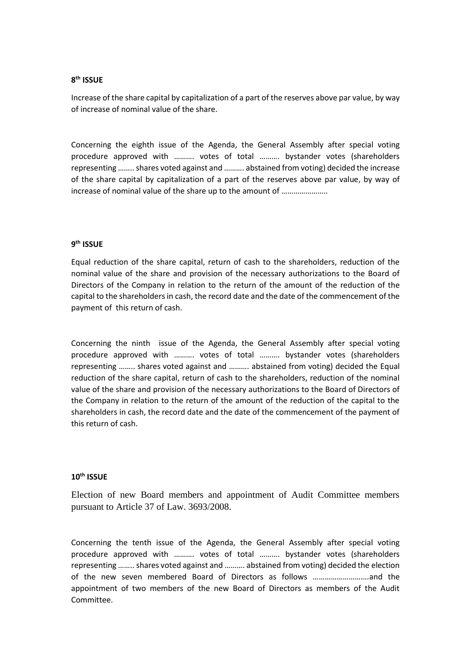# **8 th ISSUE**

Increase of the share capital by capitalization of a part of the reserves above par value, by way of increase of nominal value of the share.

Concerning the eighth issue of the Agenda, the General Assembly after special voting procedure approved with ………. votes of total ………. bystander votes (shareholders representing …….. shares voted against and ………. abstained from voting) decided the increase of the share capital by capitalization of a part of the reserves above par value, by way of increase of nominal value of the share up to the amount of …………………..

# **9 th ISSUE**

Equal reduction of the share capital, return of cash to the shareholders, reduction of the nominal value of the share and provision of the necessary authorizations to the Board of Directors of the Company in relation to the return of the amount of the reduction οf the capital to the shareholders in cash, the record date and the date of the commencement of the payment of this return of cash.

Concerning the ninth issue of the Agenda, the General Assembly after special voting procedure approved with ………. votes of total ………. bystander votes (shareholders representing …….. shares voted against and ………. abstained from voting) decided the Equal reduction of the share capital, return of cash to the shareholders, reduction of the nominal value of the share and provision of the necessary authorizations to the Board of Directors of the Company in relation to the return of the amount of the reduction οf the capital to the shareholders in cash, the record date and the date of the commencement of the payment of this return of cash.

### **10th ISSUE**

Election of new Board members and appointment of Audit Committee members pursuant to Article 37 of Law. 3693/2008.

Concerning the tenth issue of the Agenda, the General Assembly after special voting procedure approved with ………. votes of total ………. bystander votes (shareholders representing …….. shares voted against and ………. abstained from voting) decided the election of the new seven membered Board of Directors as follows ……………………….and the appointment of two members of the new Board of Directors as members of the Audit Committee.